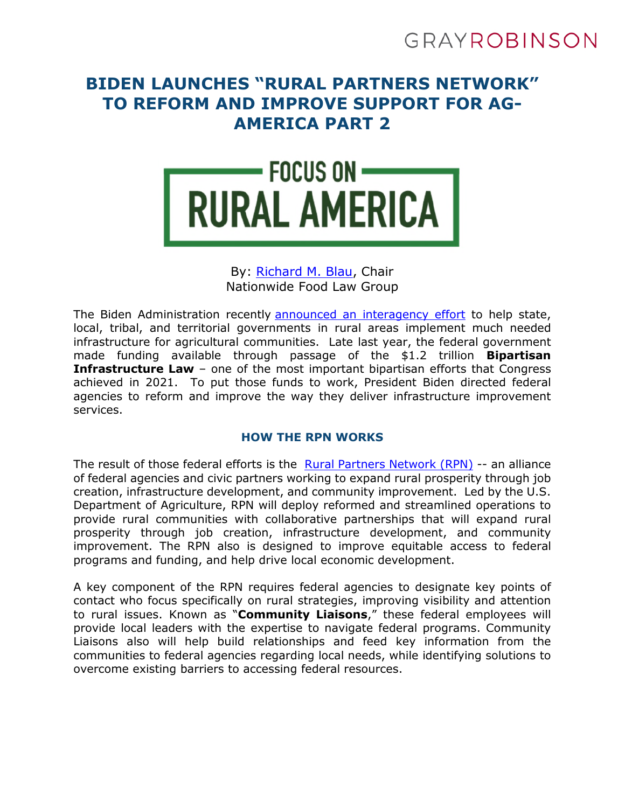# GRAYROBINSON

# **BIDEN LAUNCHES "RURAL PARTNERS NETWORK" TO REFORM AND IMPROVE SUPPORT FOR AG-AMERICA PART 2**



# By: [Richard M. Blau,](https://www.gray-robinson.com/attorneys-professionals/richard-m-blau) Chair Nationwide Food Law Group

The Biden Administration recently [announced an interagency effort](https://www.whitehouse.gov/briefing-room/statements-releases/2022/04/20/fact-sheet-biden-harris-administration-announces-the-rural-partners-network-to-empower-rural-communities-to-access-federal-resources/) to help state, local, tribal, and territorial governments in rural areas implement much needed infrastructure for agricultural communities. Late last year, the federal government made funding available through passage of the \$1.2 trillion **Bipartisan Infrastructure Law** – one of the most important bipartisan efforts that Congress achieved in 2021. To put those funds to work, President Biden directed federal agencies to reform and improve the way they deliver infrastructure improvement services.

# **HOW THE RPN WORKS**

The result of those federal efforts is the [Rural Partners Network \(RPN\)](https://www.rural.gov/) -- an alliance of federal agencies and civic partners working to expand rural prosperity through job creation, infrastructure development, and community improvement. Led by the U.S. Department of Agriculture, RPN will deploy reformed and streamlined operations to provide rural communities with collaborative partnerships that will expand rural prosperity through job creation, infrastructure development, and community improvement. The RPN also is designed to improve equitable access to federal programs and funding, and help drive local economic development.

A key component of the RPN requires federal agencies to designate key points of contact who focus specifically on rural strategies, improving visibility and attention to rural issues. Known as "**Community Liaisons**," these federal employees will provide local leaders with the expertise to navigate federal programs. Community Liaisons also will help build relationships and feed key information from the communities to federal agencies regarding local needs, while identifying solutions to overcome existing barriers to accessing federal resources.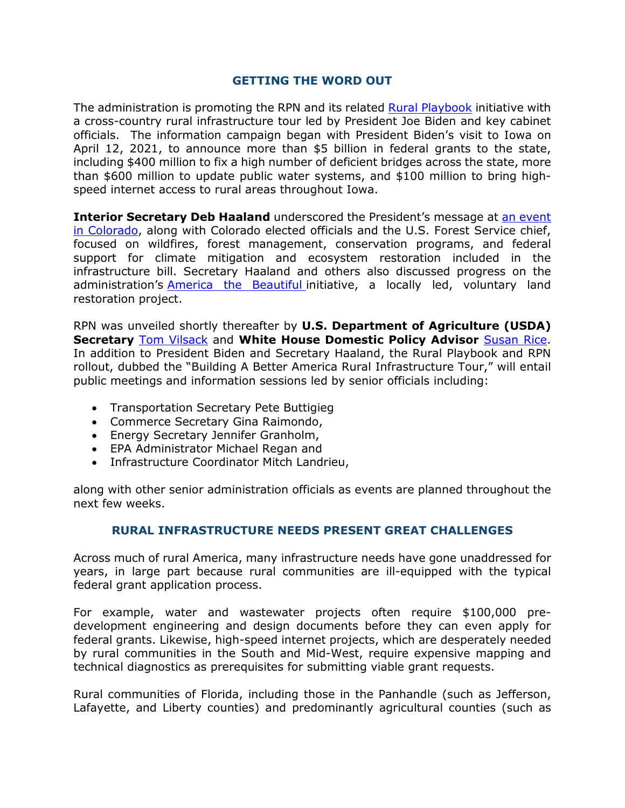#### **GETTING THE WORD OUT**

The administration is promoting the RPN and its related [Rural Playbook](https://www.whitehouse.gov/build/rural/) initiative with a cross-country rural infrastructure tour led by President Joe Biden and key cabinet officials. The information campaign began with President Biden's visit to Iowa on April 12, 2021, to announce more than \$5 billion in federal grants to the state, including \$400 million to fix a high number of deficient bridges across the state, more than \$600 million to update public water systems, and \$100 million to bring highspeed internet access to rural areas throughout Iowa.

**Interior Secretary Deb Haaland** underscored the President's message at an event [in Colorado, along with Colorado elected officials and the U.S. Forest Service chief,](https://finance.yahoo.com/news/white-house-rural-playbook-wildfires-195022396.html)  focused on wildfires, forest management, conservation programs, and federal support for climate mitigation and ecosystem restoration included in the infrastructure bill. Secretary Haaland and others also discussed progress on the administration's **America the Beautiful** initiative, a locally led, voluntary land restoration project.

RPN was unveiled shortly thereafter by **U.S. Department of Agriculture (USDA) Secretary** [Tom Vilsack](https://twitter.com/SecVilsack/status/1517159476306010114) and **White House Domestic Policy Advisor** [Susan Rice](https://twitter.com/AmbRice46/status/1516953817044197382). In addition to President Biden and Secretary Haaland, the Rural Playbook and RPN rollout, dubbed the "Building A Better America Rural Infrastructure Tour," will entail public meetings and information sessions led by senior officials including:

- Transportation Secretary Pete Buttigieg
- Commerce Secretary Gina Raimondo,
- Energy Secretary Jennifer Granholm,
- EPA Administrator Michael Regan and
- Infrastructure Coordinator Mitch Landrieu,

along with other senior administration officials as events are planned throughout the next few weeks.

# **RURAL INFRASTRUCTURE NEEDS PRESENT GREAT CHALLENGES**

Across much of rural America, many infrastructure needs have gone unaddressed for years, in large part because rural communities are ill-equipped with the typical federal grant application process.

For example, water and wastewater projects often require \$100,000 predevelopment engineering and design documents before they can even apply for federal grants. Likewise, high-speed internet projects, which are desperately needed by rural communities in the South and Mid-West, require expensive mapping and technical diagnostics as prerequisites for submitting viable grant requests.

Rural communities of Florida, including those in the Panhandle (such as Jefferson, Lafayette, and Liberty counties) and predominantly agricultural counties (such as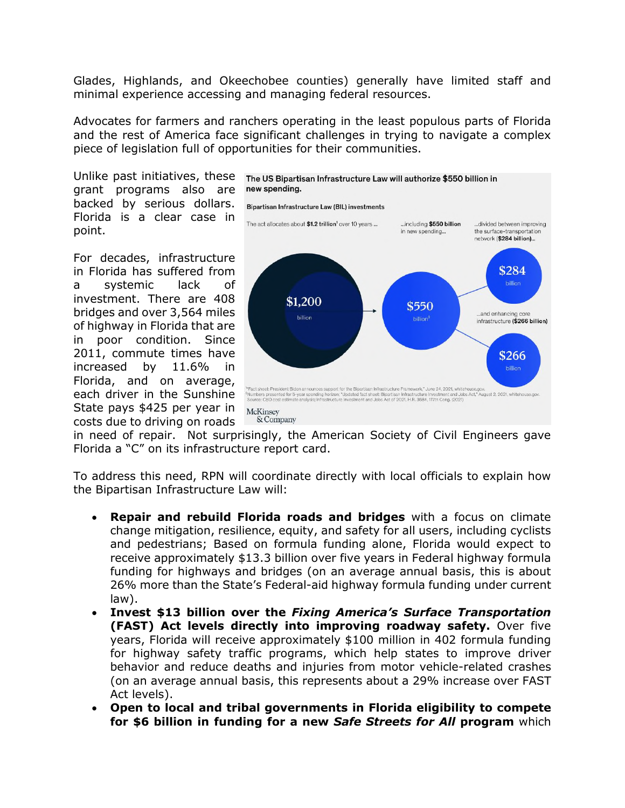Glades, Highlands, and Okeechobee counties) generally have limited staff and minimal experience accessing and managing federal resources.

Advocates for farmers and ranchers operating in the least populous parts of Florida and the rest of America face significant challenges in trying to navigate a complex piece of legislation full of opportunities for their communities.

Unlike past initiatives, these The US Bipartisan Infrastructure Law will authorize \$550 billion in grant programs also are backed by serious dollars. Florida is a clear case in point.

For decades, infrastructure in Florida has suffered from a systemic lack of investment. There are 408 bridges and over 3,564 miles of highway in Florida that are in poor condition. Since 2011, commute times have increased by 11.6% in Florida, and on average, each driver in the Sunshine State pays \$425 per year in costs due to driving on roads



in need of repair. Not surprisingly, the American Society of Civil Engineers gave Florida a "C" on its infrastructure report card.

To address this need, RPN will coordinate directly with local officials to explain how the Bipartisan Infrastructure Law will:

- **Repair and rebuild Florida roads and bridges** with a focus on climate change mitigation, resilience, equity, and safety for all users, including cyclists and pedestrians; Based on formula funding alone, Florida would expect to receive approximately \$13.3 billion over five years in Federal highway formula funding for highways and bridges (on an average annual basis, this is about 26% more than the State's Federal-aid highway formula funding under current law).
- **Invest \$13 billion over the** *Fixing America's Surface Transportation* **(FAST) Act levels directly into improving roadway safety.** Over five years, Florida will receive approximately \$100 million in 402 formula funding for highway safety traffic programs, which help states to improve driver behavior and reduce deaths and injuries from motor vehicle-related crashes (on an average annual basis, this represents about a 29% increase over FAST Act levels).
- **Open to local and tribal governments in Florida eligibility to compete for \$6 billion in funding for a new** *Safe Streets for All* **program** which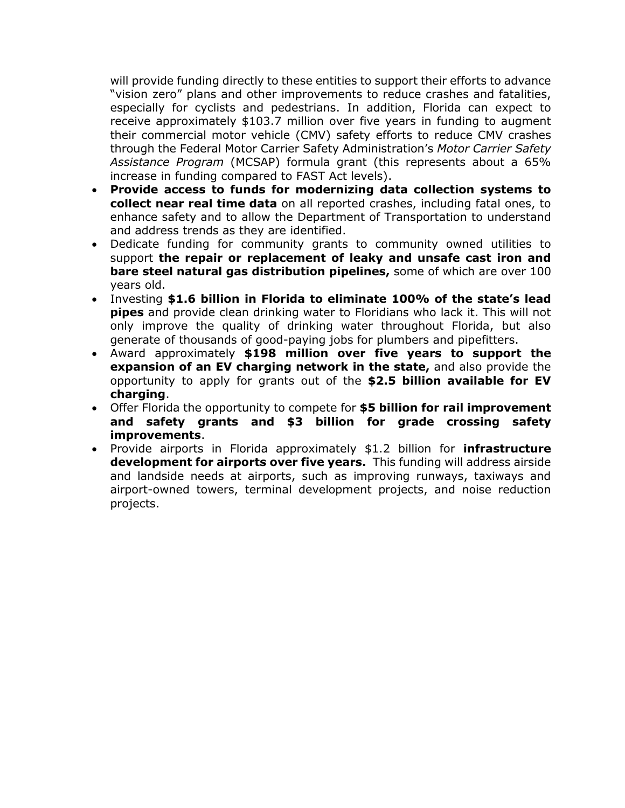will provide funding directly to these entities to support their efforts to advance "vision zero" plans and other improvements to reduce crashes and fatalities, especially for cyclists and pedestrians. In addition, Florida can expect to receive approximately \$103.7 million over five years in funding to augment their commercial motor vehicle (CMV) safety efforts to reduce CMV crashes through the Federal Motor Carrier Safety Administration's *Motor Carrier Safety Assistance Program* (MCSAP) formula grant (this represents about a 65% increase in funding compared to FAST Act levels).

- **Provide access to funds for modernizing data collection systems to collect near real time data** on all reported crashes, including fatal ones, to enhance safety and to allow the Department of Transportation to understand and address trends as they are identified.
- Dedicate funding for community grants to community owned utilities to support **the repair or replacement of leaky and unsafe cast iron and bare steel natural gas distribution pipelines,** some of which are over 100 years old.
- Investing **\$1.6 billion in Florida to eliminate 100% of the state's lead pipes** and provide clean drinking water to Floridians who lack it. This will not only improve the quality of drinking water throughout Florida, but also generate of thousands of good-paying jobs for plumbers and pipefitters.
- Award approximately **\$198 million over five years to support the expansion of an EV charging network in the state,** and also provide the opportunity to apply for grants out of the **\$2.5 billion available for EV charging**.
- Offer Florida the opportunity to compete for **\$5 billion for rail improvement and safety grants and \$3 billion for grade crossing safety improvements**.
- Provide airports in Florida approximately \$1.2 billion for **infrastructure development for airports over five years.** This funding will address airside and landside needs at airports, such as improving runways, taxiways and airport-owned towers, terminal development projects, and noise reduction projects.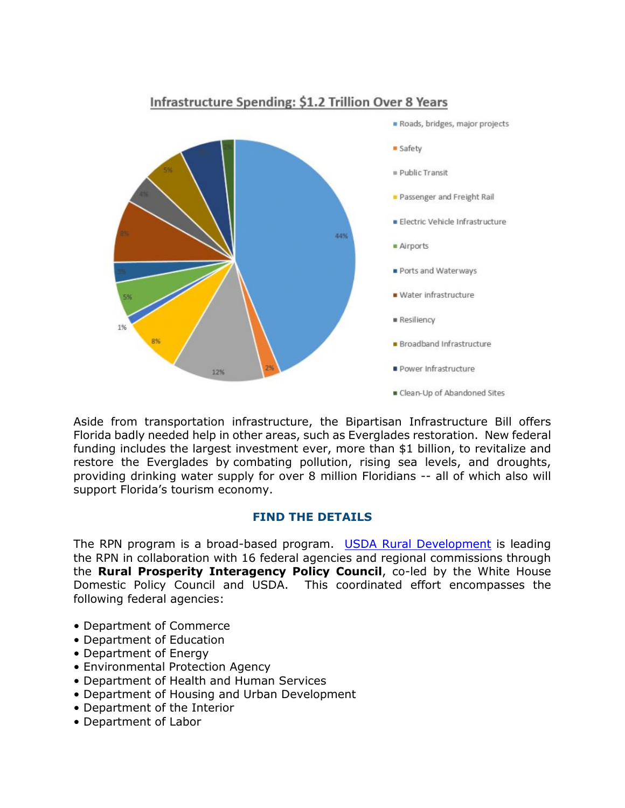

# Infrastructure Spending: \$1.2 Trillion Over 8 Years

Aside from transportation infrastructure, the Bipartisan Infrastructure Bill offers Florida badly needed help in other areas, such as Everglades restoration. New federal funding includes the largest investment ever, more than \$1 billion, to revitalize and restore the Everglades by combating pollution, rising sea levels, and droughts, providing drinking water supply for over 8 million Floridians -- all of which also will support Florida's tourism economy.

# **FIND THE DETAILS**

The RPN program is a broad-based program. [USDA Rural Development](https://www.rd.usda.gov/) is leading the RPN in collaboration with 16 federal agencies and regional commissions through the **Rural Prosperity Interagency Policy Council**, co-led by the White House Domestic Policy Council and USDA. This coordinated effort encompasses the following federal agencies:

- Department of Commerce
- Department of Education
- Department of Energy
- Environmental Protection Agency
- Department of Health and Human Services
- Department of Housing and Urban Development
- Department of the Interior
- Department of Labor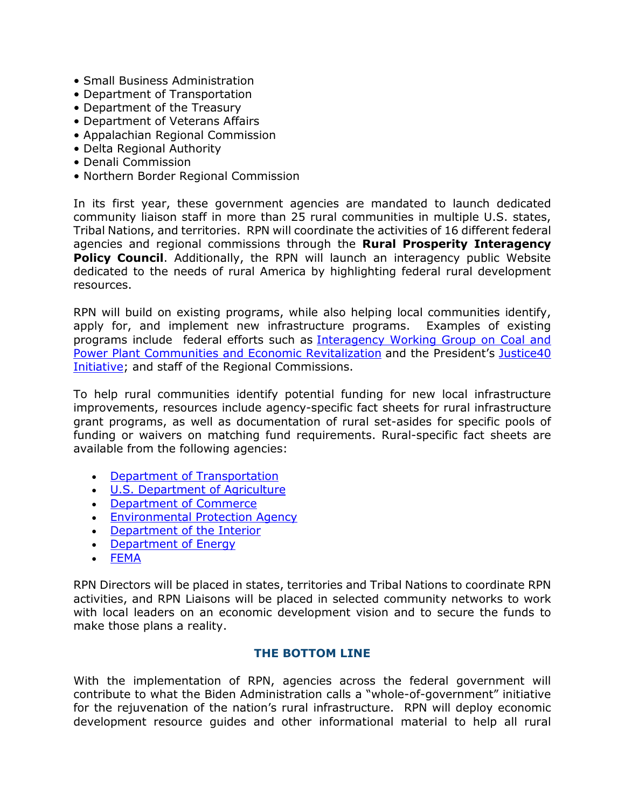- Small Business Administration
- Department of Transportation
- Department of the Treasury
- Department of Veterans Affairs
- Appalachian Regional Commission
- Delta Regional Authority
- Denali Commission
- Northern Border Regional Commission

In its first year, these government agencies are mandated to launch dedicated community liaison staff in more than 25 rural communities in multiple U.S. states, Tribal Nations, and territories. RPN will coordinate the activities of 16 different federal agencies and regional commissions through the **Rural Prosperity Interagency Policy Council**. Additionally, the RPN will launch an interagency public Website dedicated to the needs of rural America by highlighting federal rural development resources.

RPN will build on existing programs, while also helping local communities identify, apply for, and implement new infrastructure programs. Examples of existing programs include federal efforts such as [Interagency Working Group on Coal and](https://energycommunities.gov/)  Power Plant Communities and Economic Revitalization and the President's Justice40 [Initiative; and staff of the Regional Commissions.](https://www.whitehouse.gov/briefing-room/statements-releases/2021/01/27/fact-sheet-president-biden-takes-executive-actions-to-tackle-the-climate-crisis-at-home-and-abroad-create-jobs-and-restore-scientific-integrity-across-federal-government/) 

To help rural communities identify potential funding for new local infrastructure improvements, resources include agency-specific fact sheets for rural infrastructure grant programs, as well as documentation of rural set-asides for specific pools of funding or waivers on matching fund requirements. Rural-specific fact sheets are available from the following agencies:

- [Department of Transportation](https://www.transportation.gov/briefing-room/building-better-america-fact-sheet-rural-communities)
- [U.S. Department of Agriculture](https://www.usda.gov/sites/default/files/documents/usda-rural-fact-sheet.pdf)
- [Department of Commerce](https://www.commerce.gov/news/fact-sheets/2022/04/rural-opportunity-tour-fact-sheet)
- **[Environmental Protection Agency](https://www.epa.gov/infrastructure/rural-infrastructure-tour-fact-sheet)**
- [Department of the Interior](https://www.doi.gov/sites/doi.gov/files/rural-opportunity-tour-fact-sheet.pdf)
- [Department of Energy](https://www.energy.gov/articles/rural-opportunity-tour-fact-sheet)
- [FEMA](https://www.fema.gov/sites/default/files/documents/fema_rural-opportunity-tour-factsheet.pdf)

RPN Directors will be placed in states, territories and Tribal Nations to coordinate RPN activities, and RPN Liaisons will be placed in selected community networks to work with local leaders on an economic development vision and to secure the funds to make those plans a reality.

# **THE BOTTOM LINE**

With the implementation of RPN, agencies across the federal government will contribute to what the Biden Administration calls a "whole-of-government" initiative for the rejuvenation of the nation's rural infrastructure. RPN will deploy economic development resource guides and other informational material to help all rural